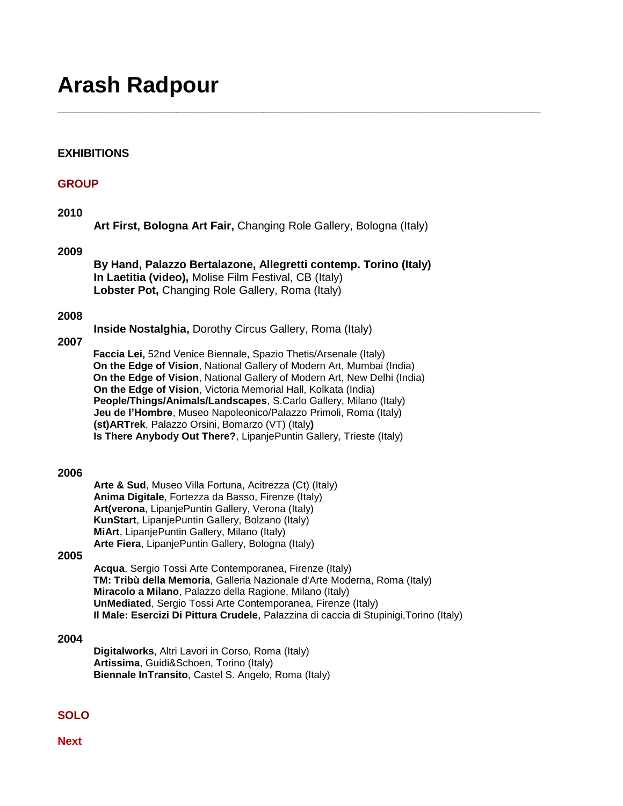# **Arash Radpour**

# **EXHIBITIONS**

# **GROUP**

## **2010**

```
Art First, Bologna Art Fair, Changing Role Gallery, Bologna (Italy)
```
**\_\_\_\_\_\_\_\_\_\_\_\_\_\_\_\_\_\_\_\_\_\_\_\_\_\_\_\_\_\_\_\_\_\_\_\_\_\_\_\_\_\_\_\_\_\_\_\_\_\_\_\_\_\_\_\_\_\_\_\_\_**

#### **2009**

**By Hand, Palazzo Bertalazone, Allegretti contemp. Torino (Italy) In Laetitia (video),** Molise Film Festival, CB (Italy) **Lobster Pot,** Changing Role Gallery, Roma (Italy)

#### **2008**

**Inside Nostalghia,** Dorothy Circus Gallery, Roma (Italy)

#### **2007**

**Faccia Lei,** 52nd Venice Biennale, Spazio Thetis/Arsenale (Italy) **On the Edge of Vision**, National Gallery of Modern Art, Mumbai (India) **On the Edge of Vision**, National Gallery of Modern Art, New Delhi (India) **On the Edge of Vision**, Victoria Memorial Hall, Kolkata (India) **People/Things/Animals/Landscapes**, S.Carlo Gallery, Milano (Italy) **Jeu de l'Hombre**, Museo Napoleonico/Palazzo Primoli, Roma (Italy) **(st)ARTrek**, Palazzo Orsini, Bomarzo (VT) (Italy**) Is There Anybody Out There?**, LipanjePuntin Gallery, Trieste (Italy)

#### **2006**

**Arte & Sud**, Museo Villa Fortuna, Acitrezza (Ct) (Italy) **Anima Digitale**, Fortezza da Basso, Firenze (Italy) **Art(verona**, LipanjePuntin Gallery, Verona (Italy) **KunStart**, LipanjePuntin Gallery, Bolzano (Italy) **MiArt**, LipanjePuntin Gallery, Milano (Italy) **Arte Fiera**, LipanjePuntin Gallery, Bologna (Italy)

#### **2005**

**Acqua**, Sergio Tossi Arte Contemporanea, Firenze (Italy) **TM: Tribù della Memoria**, Galleria Nazionale d'Arte Moderna, Roma (Italy) **Miracolo a Milano**, Palazzo della Ragione, Milano (Italy) **UnMediated**, Sergio Tossi Arte Contemporanea, Firenze (Italy) **Il Male: Esercizi Di Pittura Crudele**, Palazzina di caccia di Stupinigi,Torino (Italy)

#### **2004**

**Digitalworks**, Altri Lavori in Corso, Roma (Italy) **Artissima**, Guidi&Schoen, Torino (Italy) **Biennale InTransito**, Castel S. Angelo, Roma (Italy)

## **SOLO**

**Next**